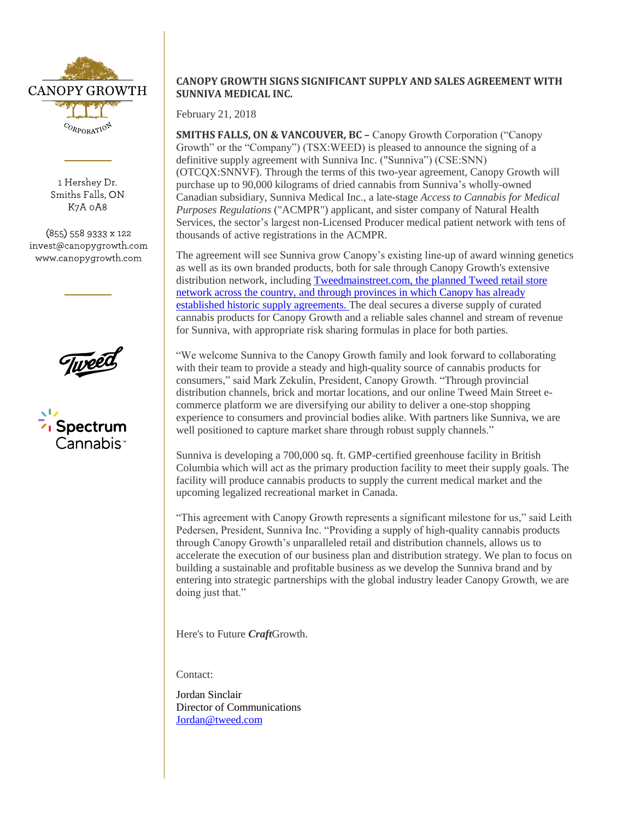

1 Hershey Dr. Smiths Falls, ON K7A 0A8

(855) 558 9333 x 122 invest@canopygrowth.com www.canopygrowth.com





# **CANOPY GROWTH SIGNS SIGNIFICANT SUPPLY AND SALES AGREEMENT WITH SUNNIVA MEDICAL INC.**

February 21, 2018

**SMITHS FALLS, ON & VANCOUVER, BC –** Canopy Growth Corporation ("Canopy Growth" or the "Company") (TSX:WEED) is pleased to announce the signing of a definitive supply agreement with Sunniva Inc. ("Sunniva") (CSE:SNN) (OTCQX:SNNVF). Through the terms of this two-year agreement, Canopy Growth will purchase up to 90,000 kilograms of dried cannabis from Sunniva's wholly-owned Canadian subsidiary, Sunniva Medical Inc., a late-stage *Access to Cannabis for Medical Purposes Regulations* ("ACMPR") applicant, and sister company of Natural Health Services, the sector's largest non-Licensed Producer medical patient network with tens of thousands of active registrations in the ACMPR.

The agreement will see Sunniva grow Canopy's existing line-up of award winning genetics as well as its own branded products, both for sale through Canopy Growth's extensive distribution network, including [Tweedmainstreet.com,](http://tweedmainstreet.com/) the planned Tweed retail store network across the country, and through provinces in which Canopy has already established historic supply agreements. The deal secures a diverse supply of curated cannabis products for Canopy Growth and a reliable sales channel and stream of revenue for Sunniva, with appropriate risk sharing formulas in place for both parties.

"We welcome Sunniva to the Canopy Growth family and look forward to collaborating with their team to provide a steady and high-quality source of cannabis products for consumers," said Mark Zekulin, President, Canopy Growth. "Through provincial distribution channels, brick and mortar locations, and our online Tweed Main Street ecommerce platform we are diversifying our ability to deliver a one-stop shopping experience to consumers and provincial bodies alike. With partners like Sunniva, we are well positioned to capture market share through robust supply channels."

Sunniva is developing a 700,000 sq. ft. GMP-certified greenhouse facility in British Columbia which will act as the primary production facility to meet their supply goals. The facility will produce cannabis products to supply the current medical market and the upcoming legalized recreational market in Canada.

"This agreement with Canopy Growth represents a significant milestone for us," said Leith Pedersen, President, Sunniva Inc. "Providing a supply of high-quality cannabis products through Canopy Growth's unparalleled retail and distribution channels, allows us to accelerate the execution of our business plan and distribution strategy. We plan to focus on building a sustainable and profitable business as we develop the Sunniva brand and by entering into strategic partnerships with the global industry leader Canopy Growth, we are doing just that."

Here's to Future *Craft*Growth.

Contact:

Jordan Sinclair Director of Communications [Jordan@tweed.com](mailto:Jordan@tweed.com)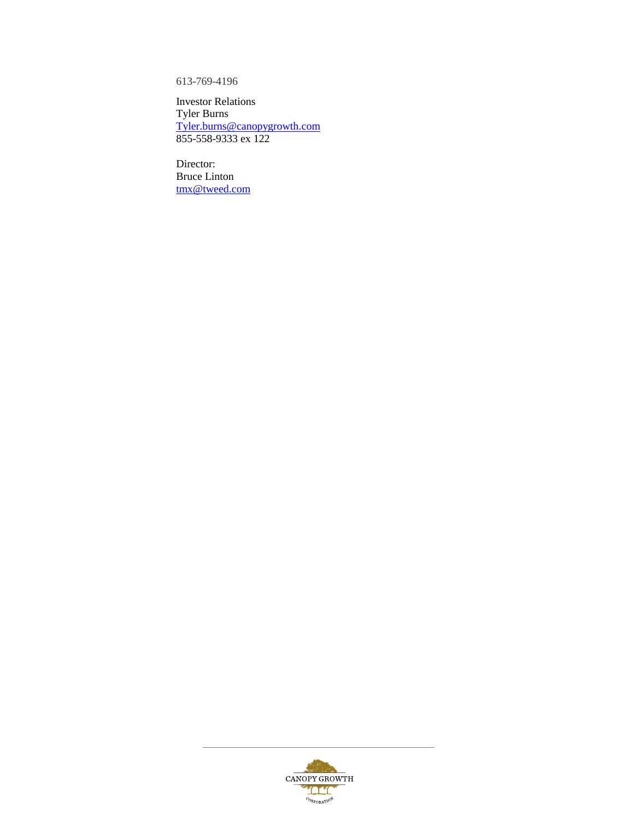613-769-4196

Investor Relations Tyler Burns [Tyler.burns@canopygrowth.com](mailto:Tyler.burns@canopygrowth.com) 855-558-9333 ex 122

Director: Bruce Linton [tmx@tweed.com](mailto:tmx@tweed.com)